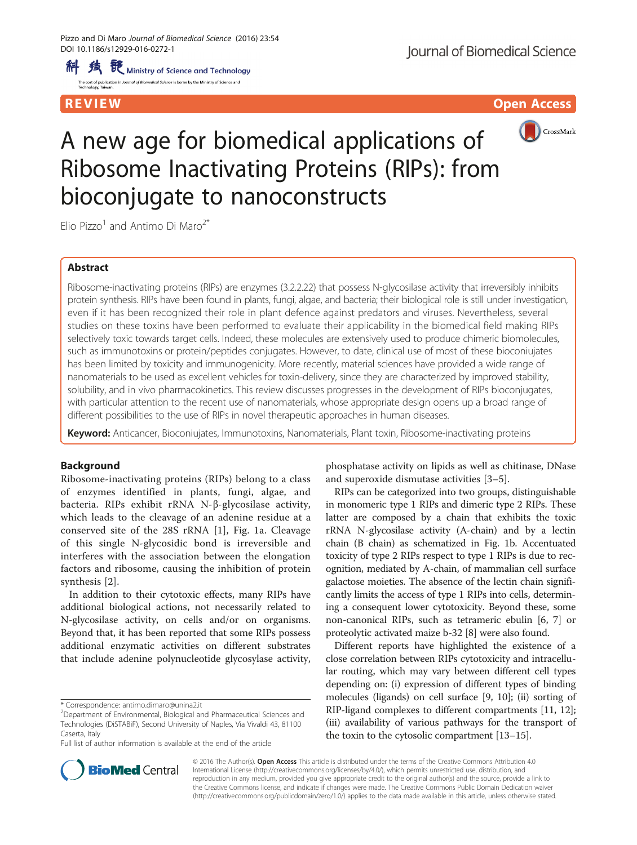R EVI EW Open Access



# A new age for biomedical applications of Ribosome Inactivating Proteins (RIPs): from bioconjugate to nanoconstructs

Elio Pizzo<sup>1</sup> and Antimo Di Maro<sup>2\*</sup>

## Abstract

Ribosome-inactivating proteins (RIPs) are enzymes (3.2.2.22) that possess N-glycosilase activity that irreversibly inhibits protein synthesis. RIPs have been found in plants, fungi, algae, and bacteria; their biological role is still under investigation, even if it has been recognized their role in plant defence against predators and viruses. Nevertheless, several studies on these toxins have been performed to evaluate their applicability in the biomedical field making RIPs selectively toxic towards target cells. Indeed, these molecules are extensively used to produce chimeric biomolecules, such as immunotoxins or protein/peptides conjugates. However, to date, clinical use of most of these bioconiujates has been limited by toxicity and immunogenicity. More recently, material sciences have provided a wide range of nanomaterials to be used as excellent vehicles for toxin-delivery, since they are characterized by improved stability, solubility, and in vivo pharmacokinetics. This review discusses progresses in the development of RIPs bioconjugates, with particular attention to the recent use of nanomaterials, whose appropriate design opens up a broad range of different possibilities to the use of RIPs in novel therapeutic approaches in human diseases.

Keyword: Anticancer, Bioconiujates, Immunotoxins, Nanomaterials, Plant toxin, Ribosome-inactivating proteins

## **Background**

Ribosome-inactivating proteins (RIPs) belong to a class of enzymes identified in plants, fungi, algae, and bacteria. RIPs exhibit rRNA N-β-glycosilase activity, which leads to the cleavage of an adenine residue at a conserved site of the 28S rRNA [[1\]](#page-6-0), Fig. [1a](#page-1-0). Cleavage of this single N-glycosidic bond is irreversible and interferes with the association between the elongation factors and ribosome, causing the inhibition of protein synthesis [[2\]](#page-6-0).

In addition to their cytotoxic effects, many RIPs have additional biological actions, not necessarily related to N-glycosilase activity, on cells and/or on organisms. Beyond that, it has been reported that some RIPs possess additional enzymatic activities on different substrates that include adenine polynucleotide glycosylase activity,

Full list of author information is available at the end of the article

phosphatase activity on lipids as well as chitinase, DNase and superoxide dismutase activities [[3](#page-6-0)–[5](#page-6-0)].

RIPs can be categorized into two groups, distinguishable in monomeric type 1 RIPs and dimeric type 2 RIPs. These latter are composed by a chain that exhibits the toxic rRNA N-glycosilase activity (A-chain) and by a lectin chain (B chain) as schematized in Fig. [1b.](#page-1-0) Accentuated toxicity of type 2 RIPs respect to type 1 RIPs is due to recognition, mediated by A-chain, of mammalian cell surface galactose moieties. The absence of the lectin chain significantly limits the access of type 1 RIPs into cells, determining a consequent lower cytotoxicity. Beyond these, some non-canonical RIPs, such as tetrameric ebulin [[6, 7](#page-6-0)] or proteolytic activated maize b-32 [\[8\]](#page-6-0) were also found.

Different reports have highlighted the existence of a close correlation between RIPs cytotoxicity and intracellular routing, which may vary between different cell types depending on: (i) expression of different types of binding molecules (ligands) on cell surface [\[9](#page-6-0), [10\]](#page-6-0); (ii) sorting of RIP-ligand complexes to different compartments [[11](#page-6-0), [12](#page-6-0)]; (iii) availability of various pathways for the transport of the toxin to the cytosolic compartment [[13](#page-6-0)–[15\]](#page-6-0).



© 2016 The Author(s). Open Access This article is distributed under the terms of the Creative Commons Attribution 4.0 International License [\(http://creativecommons.org/licenses/by/4.0/](http://creativecommons.org/licenses/by/4.0/)), which permits unrestricted use, distribution, and reproduction in any medium, provided you give appropriate credit to the original author(s) and the source, provide a link to the Creative Commons license, and indicate if changes were made. The Creative Commons Public Domain Dedication waiver [\(http://creativecommons.org/publicdomain/zero/1.0/](http://creativecommons.org/publicdomain/zero/1.0/)) applies to the data made available in this article, unless otherwise stated.

<sup>\*</sup> Correspondence: [antimo.dimaro@unina2.it](mailto:antimo.dimaro@unina2.it) <sup>2</sup>

<sup>&</sup>lt;sup>2</sup>Department of Environmental, Biological and Pharmaceutical Sciences and Technologies (DiSTABiF), Second University of Naples, Via Vivaldi 43, 81100 Caserta, Italy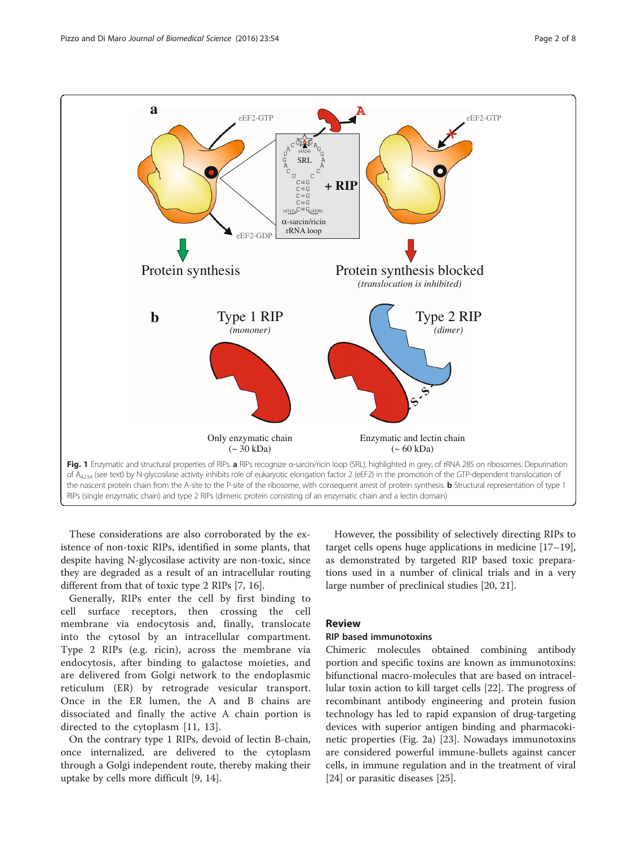<span id="page-1-0"></span>

These considerations are also corroborated by the existence of non-toxic RIPs, identified in some plants, that despite having N-glycosilase activity are non-toxic, since they are degraded as a result of an intracellular routing different from that of toxic type 2 RIPs [\[7](#page-6-0), [16](#page-6-0)].

Generally, RIPs enter the cell by first binding to cell surface receptors, then crossing the cell membrane via endocytosis and, finally, translocate into the cytosol by an intracellular compartment. Type 2 RIPs (e.g. ricin), across the membrane via endocytosis, after binding to galactose moieties, and are delivered from Golgi network to the endoplasmic reticulum (ER) by retrograde vesicular transport. Once in the ER lumen, the A and B chains are dissociated and finally the active A chain portion is directed to the cytoplasm [[11, 13](#page-6-0)].

On the contrary type 1 RIPs, devoid of lectin B-chain, once internalized, are delivered to the cytoplasm through a Golgi independent route, thereby making their uptake by cells more difficult [\[9, 14\]](#page-6-0).

However, the possibility of selectively directing RIPs to target cells opens huge applications in medicine [[17](#page-6-0)–[19](#page-6-0)], as demonstrated by targeted RIP based toxic preparations used in a number of clinical trials and in a very large number of preclinical studies [[20, 21\]](#page-6-0).

## Review

## RIP based immunotoxins

Chimeric molecules obtained combining antibody portion and specific toxins are known as immunotoxins: bifunctional macro-molecules that are based on intracellular toxin action to kill target cells [[22\]](#page-6-0). The progress of recombinant antibody engineering and protein fusion technology has led to rapid expansion of drug-targeting devices with superior antigen binding and pharmacokinetic properties (Fig. [2a](#page-2-0)) [[23](#page-6-0)]. Nowadays immunotoxins are considered powerful immune-bullets against cancer cells, in immune regulation and in the treatment of viral [[24\]](#page-6-0) or parasitic diseases [\[25](#page-6-0)].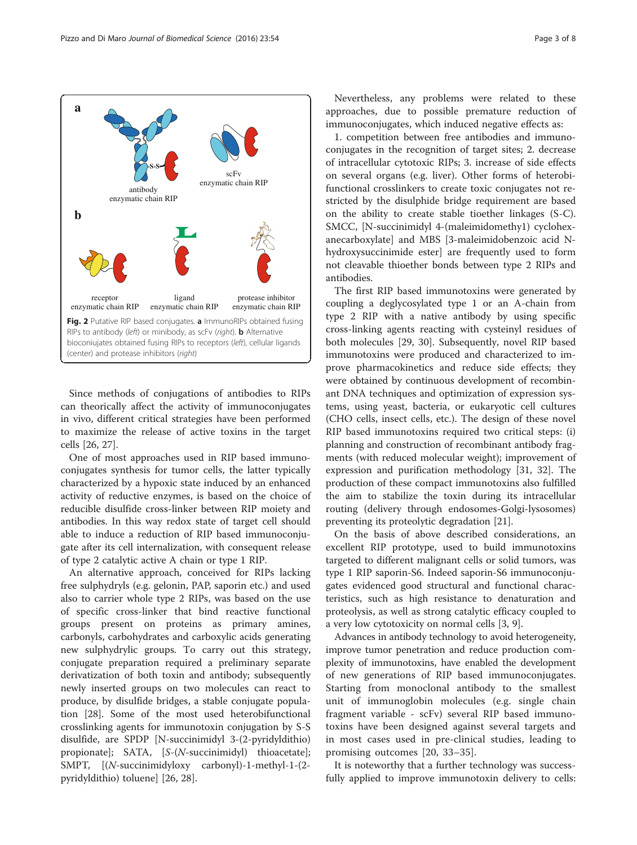<span id="page-2-0"></span>Pizzo and Di Maro Journal of Biomedical Science (2016) 23:54 Page 3 of 8



Since methods of conjugations of antibodies to RIPs can theorically affect the activity of immunoconjugates in vivo, different critical strategies have been performed to maximize the release of active toxins in the target cells [[26](#page-6-0), [27](#page-6-0)].

One of most approaches used in RIP based immunoconjugates synthesis for tumor cells, the latter typically characterized by a hypoxic state induced by an enhanced activity of reductive enzymes, is based on the choice of reducible disulfide cross-linker between RIP moiety and antibodies. In this way redox state of target cell should able to induce a reduction of RIP based immunoconjugate after its cell internalization, with consequent release of type 2 catalytic active A chain or type 1 RIP.

An alternative approach, conceived for RIPs lacking free sulphydryls (e.g. gelonin, PAP, saporin etc.) and used also to carrier whole type 2 RIPs, was based on the use of specific cross-linker that bind reactive functional groups present on proteins as primary amines, carbonyls, carbohydrates and carboxylic acids generating new sulphydrylic groups. To carry out this strategy, conjugate preparation required a preliminary separate derivatization of both toxin and antibody; subsequently newly inserted groups on two molecules can react to produce, by disulfide bridges, a stable conjugate population [\[28\]](#page-6-0). Some of the most used heterobifunctional crosslinking agents for immunotoxin conjugation by S-S disulfide, are SPDP [N-succinimidyl 3-(2-pyridyldithio) propionate]; SATA, [S-(N-succinimidyl) thioacetate]; SMPT, [(N-succinimidyloxy carbonyl)-1-methyl-1-(2 pyridyldithio) toluene] [\[26](#page-6-0), [28](#page-6-0)].

Nevertheless, any problems were related to these approaches, due to possible premature reduction of immunoconjugates, which induced negative effects as:

1. competition between free antibodies and immunoconjugates in the recognition of target sites; 2. decrease of intracellular cytotoxic RIPs; 3. increase of side effects on several organs (e.g. liver). Other forms of heterobifunctional crosslinkers to create toxic conjugates not restricted by the disulphide bridge requirement are based on the ability to create stable tioether linkages (S-C). SMCC, [N-succinimidyl 4-(maleimidomethy1) cyclohexanecarboxylate] and MBS [3-maleimidobenzoic acid Nhydroxysuccinimide ester] are frequently used to form not cleavable thioether bonds between type 2 RIPs and antibodies.

The first RIP based immunotoxins were generated by coupling a deglycosylated type 1 or an A-chain from type 2 RIP with a native antibody by using specific cross-linking agents reacting with cysteinyl residues of both molecules [\[29](#page-6-0), [30](#page-6-0)]. Subsequently, novel RIP based immunotoxins were produced and characterized to improve pharmacokinetics and reduce side effects; they were obtained by continuous development of recombinant DNA techniques and optimization of expression systems, using yeast, bacteria, or eukaryotic cell cultures (CHO cells, insect cells, etc.). The design of these novel RIP based immunotoxins required two critical steps: (i) planning and construction of recombinant antibody fragments (with reduced molecular weight); improvement of expression and purification methodology [[31, 32](#page-6-0)]. The production of these compact immunotoxins also fulfilled the aim to stabilize the toxin during its intracellular routing (delivery through endosomes-Golgi-lysosomes) preventing its proteolytic degradation [[21\]](#page-6-0).

On the basis of above described considerations, an excellent RIP prototype, used to build immunotoxins targeted to different malignant cells or solid tumors, was type 1 RIP saporin-S6. Indeed saporin-S6 immunoconjugates evidenced good structural and functional characteristics, such as high resistance to denaturation and proteolysis, as well as strong catalytic efficacy coupled to a very low cytotoxicity on normal cells [\[3, 9\]](#page-6-0).

Advances in antibody technology to avoid heterogeneity, improve tumor penetration and reduce production complexity of immunotoxins, have enabled the development of new generations of RIP based immunoconjugates. Starting from monoclonal antibody to the smallest unit of immunoglobin molecules (e.g. single chain fragment variable - scFv) several RIP based immunotoxins have been designed against several targets and in most cases used in pre-clinical studies, leading to promising outcomes [[20, 33](#page-6-0)–[35](#page-6-0)].

It is noteworthy that a further technology was successfully applied to improve immunotoxin delivery to cells: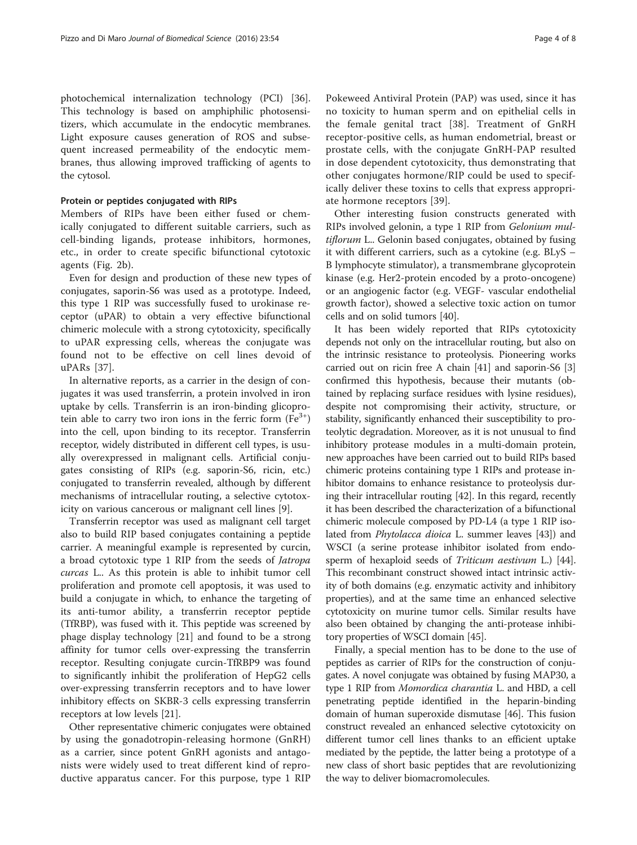photochemical internalization technology (PCI) [\[36](#page-6-0)]. This technology is based on amphiphilic photosensitizers, which accumulate in the endocytic membranes. Light exposure causes generation of ROS and subsequent increased permeability of the endocytic membranes, thus allowing improved trafficking of agents to the cytosol.

### Protein or peptides conjugated with RIPs

Members of RIPs have been either fused or chemically conjugated to different suitable carriers, such as cell-binding ligands, protease inhibitors, hormones, etc., in order to create specific bifunctional cytotoxic agents (Fig. [2b](#page-2-0)).

Even for design and production of these new types of conjugates, saporin-S6 was used as a prototype. Indeed, this type 1 RIP was successfully fused to urokinase receptor (uPAR) to obtain a very effective bifunctional chimeric molecule with a strong cytotoxicity, specifically to uPAR expressing cells, whereas the conjugate was found not to be effective on cell lines devoid of uPARs [[37\]](#page-6-0).

In alternative reports, as a carrier in the design of conjugates it was used transferrin, a protein involved in iron uptake by cells. Transferrin is an iron-binding glicoprotein able to carry two iron ions in the ferric form  $(Fe<sup>3+</sup>)$ into the cell, upon binding to its receptor. Transferrin receptor, widely distributed in different cell types, is usually overexpressed in malignant cells. Artificial conjugates consisting of RIPs (e.g. saporin-S6, ricin, etc.) conjugated to transferrin revealed, although by different mechanisms of intracellular routing, a selective cytotoxicity on various cancerous or malignant cell lines [\[9](#page-6-0)].

Transferrin receptor was used as malignant cell target also to build RIP based conjugates containing a peptide carrier. A meaningful example is represented by curcin, a broad cytotoxic type 1 RIP from the seeds of Jatropa curcas L.. As this protein is able to inhibit tumor cell proliferation and promote cell apoptosis, it was used to build a conjugate in which, to enhance the targeting of its anti-tumor ability, a transferrin receptor peptide (TfRBP), was fused with it. This peptide was screened by phage display technology [[21\]](#page-6-0) and found to be a strong affinity for tumor cells over-expressing the transferrin receptor. Resulting conjugate curcin-TfRBP9 was found to significantly inhibit the proliferation of HepG2 cells over-expressing transferrin receptors and to have lower inhibitory effects on SKBR-3 cells expressing transferrin receptors at low levels [[21\]](#page-6-0).

Other representative chimeric conjugates were obtained by using the gonadotropin-releasing hormone (GnRH) as a carrier, since potent GnRH agonists and antagonists were widely used to treat different kind of reproductive apparatus cancer. For this purpose, type 1 RIP

Pokeweed Antiviral Protein (PAP) was used, since it has no toxicity to human sperm and on epithelial cells in the female genital tract [\[38](#page-6-0)]. Treatment of GnRH receptor-positive cells, as human endometrial, breast or prostate cells, with the conjugate GnRH-PAP resulted in dose dependent cytotoxicity, thus demonstrating that other conjugates hormone/RIP could be used to specifically deliver these toxins to cells that express appropriate hormone receptors [[39\]](#page-7-0).

Other interesting fusion constructs generated with RIPs involved gelonin, a type 1 RIP from Gelonium multiflorum L.. Gelonin based conjugates, obtained by fusing it with different carriers, such as a cytokine (e.g. BLyS – B lymphocyte stimulator), a transmembrane glycoprotein kinase (e.g. Her2-protein encoded by a proto-oncogene) or an angiogenic factor (e.g. VEGF- vascular endothelial growth factor), showed a selective toxic action on tumor cells and on solid tumors [\[40](#page-7-0)].

It has been widely reported that RIPs cytotoxicity depends not only on the intracellular routing, but also on the intrinsic resistance to proteolysis. Pioneering works carried out on ricin free A chain [[41](#page-7-0)] and saporin-S6 [[3](#page-6-0)] confirmed this hypothesis, because their mutants (obtained by replacing surface residues with lysine residues), despite not compromising their activity, structure, or stability, significantly enhanced their susceptibility to proteolytic degradation. Moreover, as it is not unusual to find inhibitory protease modules in a multi-domain protein, new approaches have been carried out to build RIPs based chimeric proteins containing type 1 RIPs and protease inhibitor domains to enhance resistance to proteolysis during their intracellular routing [[42](#page-7-0)]. In this regard, recently it has been described the characterization of a bifunctional chimeric molecule composed by PD-L4 (a type 1 RIP isolated from *Phytolacca dioica* L. summer leaves [\[43\]](#page-7-0)) and WSCI (a serine protease inhibitor isolated from endo-sperm of hexaploid seeds of Triticum aestivum L.) [[44](#page-7-0)]. This recombinant construct showed intact intrinsic activity of both domains (e.g. enzymatic activity and inhibitory properties), and at the same time an enhanced selective cytotoxicity on murine tumor cells. Similar results have also been obtained by changing the anti-protease inhibitory properties of WSCI domain [\[45\]](#page-7-0).

Finally, a special mention has to be done to the use of peptides as carrier of RIPs for the construction of conjugates. A novel conjugate was obtained by fusing MAP30, a type 1 RIP from Momordica charantia L. and HBD, a cell penetrating peptide identified in the heparin-binding domain of human superoxide dismutase [[46](#page-7-0)]. This fusion construct revealed an enhanced selective cytotoxicity on different tumor cell lines thanks to an efficient uptake mediated by the peptide, the latter being a prototype of a new class of short basic peptides that are revolutionizing the way to deliver biomacromolecules.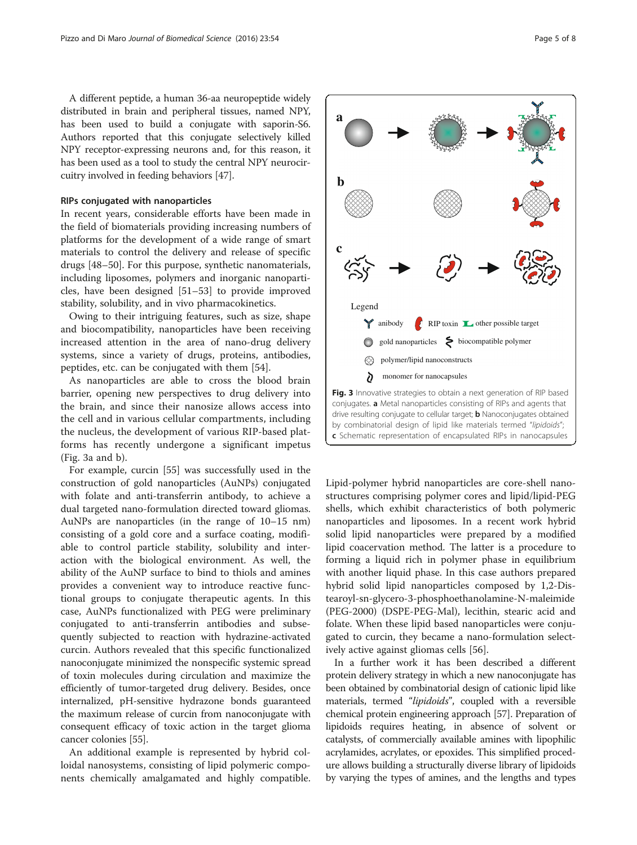<span id="page-4-0"></span>A different peptide, a human 36-aa neuropeptide widely distributed in brain and peripheral tissues, named NPY, has been used to build a conjugate with saporin-S6. Authors reported that this conjugate selectively killed NPY receptor-expressing neurons and, for this reason, it has been used as a tool to study the central NPY neurocircuitry involved in feeding behaviors [\[47\]](#page-7-0).

#### RIPs conjugated with nanoparticles

In recent years, considerable efforts have been made in the field of biomaterials providing increasing numbers of platforms for the development of a wide range of smart materials to control the delivery and release of specific drugs [\[48](#page-7-0)–[50\]](#page-7-0). For this purpose, synthetic nanomaterials, including liposomes, polymers and inorganic nanoparticles, have been designed [[51](#page-7-0)–[53](#page-7-0)] to provide improved stability, solubility, and in vivo pharmacokinetics.

Owing to their intriguing features, such as size, shape and biocompatibility, nanoparticles have been receiving increased attention in the area of nano-drug delivery systems, since a variety of drugs, proteins, antibodies, peptides, etc. can be conjugated with them [\[54](#page-7-0)].

As nanoparticles are able to cross the blood brain barrier, opening new perspectives to drug delivery into the brain, and since their nanosize allows access into the cell and in various cellular compartments, including the nucleus, the development of various RIP-based platforms has recently undergone a significant impetus (Fig. 3a and b).

For example, curcin [[55](#page-7-0)] was successfully used in the construction of gold nanoparticles (AuNPs) conjugated with folate and anti-transferrin antibody, to achieve a dual targeted nano-formulation directed toward gliomas. AuNPs are nanoparticles (in the range of 10–15 nm) consisting of a gold core and a surface coating, modifiable to control particle stability, solubility and interaction with the biological environment. As well, the ability of the AuNP surface to bind to thiols and amines provides a convenient way to introduce reactive functional groups to conjugate therapeutic agents. In this case, AuNPs functionalized with PEG were preliminary conjugated to anti-transferrin antibodies and subsequently subjected to reaction with hydrazine-activated curcin. Authors revealed that this specific functionalized nanoconjugate minimized the nonspecific systemic spread of toxin molecules during circulation and maximize the efficiently of tumor-targeted drug delivery. Besides, once internalized, pH-sensitive hydrazone bonds guaranteed the maximum release of curcin from nanoconjugate with consequent efficacy of toxic action in the target glioma cancer colonies [[55](#page-7-0)].

An additional example is represented by hybrid colloidal nanosystems, consisting of lipid polymeric components chemically amalgamated and highly compatible.



drive resulting conjugate to cellular target; **b** Nanoconjugates obtained by combinatorial design of lipid like materials termed "lipidoids"; c Schematic representation of encapsulated RIPs in nanocapsules

Lipid-polymer hybrid nanoparticles are core-shell nanostructures comprising polymer cores and lipid/lipid-PEG shells, which exhibit characteristics of both polymeric nanoparticles and liposomes. In a recent work hybrid solid lipid nanoparticles were prepared by a modified lipid coacervation method. The latter is a procedure to forming a liquid rich in polymer phase in equilibrium with another liquid phase. In this case authors prepared hybrid solid lipid nanoparticles composed by 1,2-Distearoyl-sn-glycero-3-phosphoethanolamine-N-maleimide (PEG-2000) (DSPE-PEG-Mal), lecithin, stearic acid and folate. When these lipid based nanoparticles were conjugated to curcin, they became a nano-formulation selectively active against gliomas cells [[56\]](#page-7-0).

In a further work it has been described a different protein delivery strategy in which a new nanoconjugate has been obtained by combinatorial design of cationic lipid like materials, termed "lipidoids", coupled with a reversible chemical protein engineering approach [[57](#page-7-0)]. Preparation of lipidoids requires heating, in absence of solvent or catalysts, of commercially available amines with lipophilic acrylamides, acrylates, or epoxides. This simplified procedure allows building a structurally diverse library of lipidoids by varying the types of amines, and the lengths and types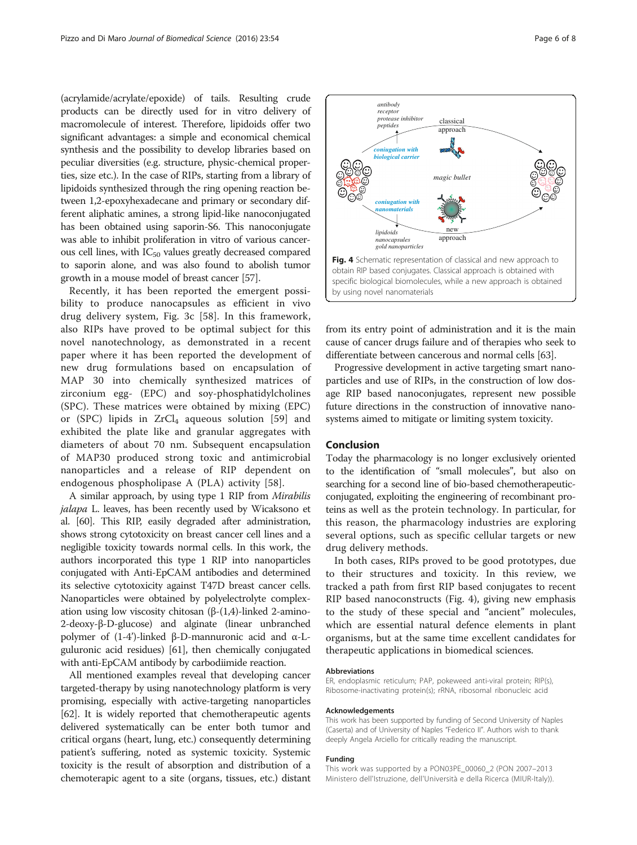(acrylamide/acrylate/epoxide) of tails. Resulting crude products can be directly used for in vitro delivery of macromolecule of interest. Therefore, lipidoids offer two significant advantages: a simple and economical chemical synthesis and the possibility to develop libraries based on peculiar diversities (e.g. structure, physic-chemical properties, size etc.). In the case of RIPs, starting from a library of lipidoids synthesized through the ring opening reaction between 1,2-epoxyhexadecane and primary or secondary different aliphatic amines, a strong lipid-like nanoconjugated has been obtained using saporin-S6. This nanoconjugate was able to inhibit proliferation in vitro of various cancerous cell lines, with  $IC_{50}$  values greatly decreased compared to saporin alone, and was also found to abolish tumor growth in a mouse model of breast cancer [\[57\]](#page-7-0).

Recently, it has been reported the emergent possibility to produce nanocapsules as efficient in vivo drug delivery system, Fig. [3c](#page-4-0) [[58\]](#page-7-0). In this framework, also RIPs have proved to be optimal subject for this novel nanotechnology, as demonstrated in a recent paper where it has been reported the development of new drug formulations based on encapsulation of MAP 30 into chemically synthesized matrices of zirconium egg- (EPC) and soy-phosphatidylcholines (SPC). These matrices were obtained by mixing (EPC) or (SPC) lipids in  $ZrCl<sub>4</sub>$  aqueous solution [\[59](#page-7-0)] and exhibited the plate like and granular aggregates with diameters of about 70 nm. Subsequent encapsulation of MAP30 produced strong toxic and antimicrobial nanoparticles and a release of RIP dependent on endogenous phospholipase A (PLA) activity [[58\]](#page-7-0).

A similar approach, by using type 1 RIP from Mirabilis jalapa L. leaves, has been recently used by Wicaksono et al. [\[60\]](#page-7-0). This RIP, easily degraded after administration, shows strong cytotoxicity on breast cancer cell lines and a negligible toxicity towards normal cells. In this work, the authors incorporated this type 1 RIP into nanoparticles conjugated with Anti-EpCAM antibodies and determined its selective cytotoxicity against T47D breast cancer cells. Nanoparticles were obtained by polyelectrolyte complexation using low viscosity chitosan (β-(1,4)-linked 2-amino-2-deoxy-β-D-glucose) and alginate (linear unbranched polymer of (1-4')-linked β-D-mannuronic acid and α-Lguluronic acid residues) [\[61](#page-7-0)], then chemically conjugated with anti-EpCAM antibody by carbodiimide reaction.

All mentioned examples reveal that developing cancer targeted-therapy by using nanotechnology platform is very promising, especially with active-targeting nanoparticles [[62](#page-7-0)]. It is widely reported that chemotherapeutic agents delivered systematically can be enter both tumor and critical organs (heart, lung, etc.) consequently determining patient's suffering, noted as systemic toxicity. Systemic toxicity is the result of absorption and distribution of a chemoterapic agent to a site (organs, tissues, etc.) distant



from its entry point of administration and it is the main cause of cancer drugs failure and of therapies who seek to differentiate between cancerous and normal cells [[63](#page-7-0)].

Progressive development in active targeting smart nanoparticles and use of RIPs, in the construction of low dosage RIP based nanoconjugates, represent new possible future directions in the construction of innovative nanosystems aimed to mitigate or limiting system toxicity.

## Conclusion

Today the pharmacology is no longer exclusively oriented to the identification of "small molecules", but also on searching for a second line of bio-based chemotherapeuticconjugated, exploiting the engineering of recombinant proteins as well as the protein technology. In particular, for this reason, the pharmacology industries are exploring several options, such as specific cellular targets or new drug delivery methods.

In both cases, RIPs proved to be good prototypes, due to their structures and toxicity. In this review, we tracked a path from first RIP based conjugates to recent RIP based nanoconstructs (Fig. 4), giving new emphasis to the study of these special and "ancient" molecules, which are essential natural defence elements in plant organisms, but at the same time excellent candidates for therapeutic applications in biomedical sciences.

#### Abbreviations

ER, endoplasmic reticulum; PAP, pokeweed anti-viral protein; RIP(s), Ribosome-inactivating protein(s); rRNA, ribosomal ribonucleic acid

#### Acknowledgements

This work has been supported by funding of Second University of Naples (Caserta) and of University of Naples "Federico II". Authors wish to thank deeply Angela Arciello for critically reading the manuscript.

#### Funding

This work was supported by a PON03PE\_00060\_2 (PON 2007–2013 Ministero dell'Istruzione, dell'Università e della Ricerca (MIUR-Italy)).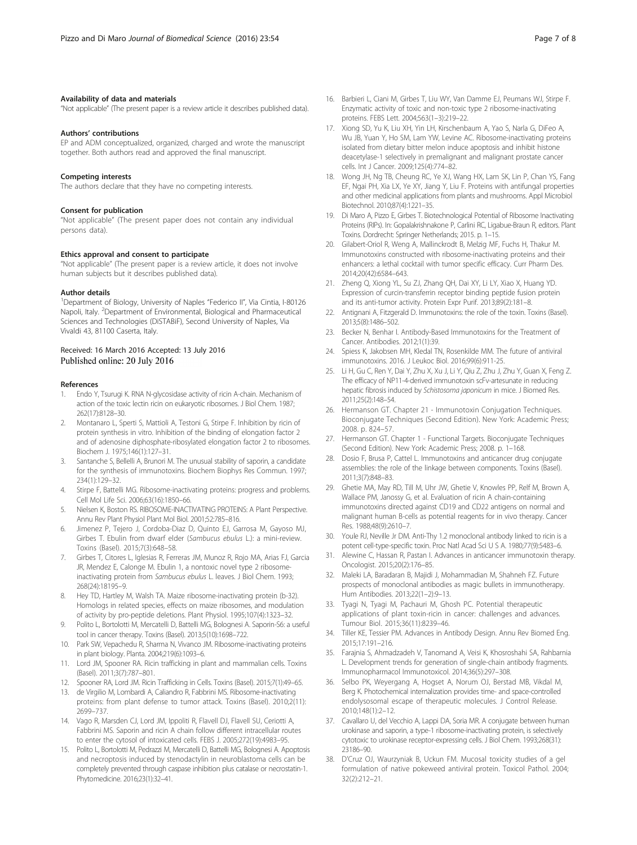#### <span id="page-6-0"></span>Availability of data and materials

"Not applicable" (The present paper is a review article it describes published data).

#### Authors' contributions

EP and ADM conceptualized, organized, charged and wrote the manuscript together. Both authors read and approved the final manuscript.

#### Competing interests

The authors declare that they have no competing interests.

#### Consent for publication

"Not applicable" (The present paper does not contain any individual persons data).

## Ethics approval and consent to participate

"Not applicable" (The present paper is a review article, it does not involve human subjects but it describes published data).

#### Author details

<sup>1</sup>Department of Biology, University of Naples "Federico II", Via Cintia, I-80126 Napoli, Italy. <sup>2</sup>Department of Environmental, Biological and Pharmaceutical Sciences and Technologies (DiSTABiF), Second University of Naples, Via Vivaldi 43, 81100 Caserta, Italy.

## Received: 16 March 2016 Accepted: 13 July 2016 Published online: 20 July 2016

#### References

- 1. Endo Y, Tsurugi K. RNA N-glycosidase activity of ricin A-chain. Mechanism of action of the toxic lectin ricin on eukaryotic ribosomes. J Biol Chem. 1987; 262(17):8128–30.
- 2. Montanaro L, Sperti S, Mattioli A, Testoni G, Stirpe F. Inhibition by ricin of protein synthesis in vitro. Inhibition of the binding of elongation factor 2 and of adenosine diphosphate-ribosylated elongation factor 2 to ribosomes. Biochem J. 1975;146(1):127–31.
- 3. Santanche S, Bellelli A, Brunori M. The unusual stability of saporin, a candidate for the synthesis of immunotoxins. Biochem Biophys Res Commun. 1997; 234(1):129–32.
- Stirpe F, Battelli MG. Ribosome-inactivating proteins: progress and problems. Cell Mol Life Sci. 2006;63(16):1850–66.
- 5. Nielsen K, Boston RS. RIBOSOME-INACTIVATING PROTEINS: A Plant Perspective. Annu Rev Plant Physiol Plant Mol Biol. 2001;52:785–816.
- 6. Jimenez P, Tejero J, Cordoba-Diaz D, Quinto EJ, Garrosa M, Gayoso MJ, Girbes T. Ebulin from dwarf elder (Sambucus ebulus L.): a mini-review. Toxins (Basel). 2015;7(3):648–58.
- 7. Girbes T, Citores L, Iglesias R, Ferreras JM, Munoz R, Rojo MA, Arias FJ, Garcia JR, Mendez E, Calonge M. Ebulin 1, a nontoxic novel type 2 ribosomeinactivating protein from Sambucus ebulus L. leaves. J Biol Chem. 1993; 268(24):18195–9.
- 8. Hey TD, Hartley M, Walsh TA. Maize ribosome-inactivating protein (b-32). Homologs in related species, effects on maize ribosomes, and modulation of activity by pro-peptide deletions. Plant Physiol. 1995;107(4):1323–32.
- 9. Polito L, Bortolotti M, Mercatelli D, Battelli MG, Bolognesi A. Saporin-S6: a useful tool in cancer therapy. Toxins (Basel). 2013;5(10):1698–722.
- 10. Park SW, Vepachedu R, Sharma N, Vivanco JM. Ribosome-inactivating proteins in plant biology. Planta. 2004;219(6):1093–6.
- 11. Lord JM, Spooner RA. Ricin trafficking in plant and mammalian cells. Toxins (Basel). 2011;3(7):787–801.
- 12. Spooner RA, Lord JM. Ricin Trafficking in Cells. Toxins (Basel). 2015;7(1):49–65.
- 13. de Virgilio M, Lombardi A, Caliandro R, Fabbrini MS. Ribosome-inactivating proteins: from plant defense to tumor attack. Toxins (Basel). 2010;2(11): 2699–737.
- 14. Vago R, Marsden CJ, Lord JM, Ippoliti R, Flavell DJ, Flavell SU, Ceriotti A, Fabbrini MS. Saporin and ricin A chain follow different intracellular routes to enter the cytosol of intoxicated cells. FEBS J. 2005;272(19):4983–95.
- 15. Polito L, Bortolotti M, Pedrazzi M, Mercatelli D, Battelli MG, Bolognesi A. Apoptosis and necroptosis induced by stenodactylin in neuroblastoma cells can be completely prevented through caspase inhibition plus catalase or necrostatin-1. Phytomedicine. 2016;23(1):32–41.
- 16. Barbieri L, Ciani M, Girbes T, Liu WY, Van Damme EJ, Peumans WJ, Stirpe F. Enzymatic activity of toxic and non-toxic type 2 ribosome-inactivating proteins. FEBS Lett. 2004;563(1–3):219–22.
- 17. Xiong SD, Yu K, Liu XH, Yin LH, Kirschenbaum A, Yao S, Narla G, DiFeo A, Wu JB, Yuan Y, Ho SM, Lam YW, Levine AC. Ribosome-inactivating proteins isolated from dietary bitter melon induce apoptosis and inhibit histone deacetylase-1 selectively in premalignant and malignant prostate cancer cells. Int J Cancer. 2009;125(4):774–82.
- 18. Wong JH, Ng TB, Cheung RC, Ye XJ, Wang HX, Lam SK, Lin P, Chan YS, Fang EF, Ngai PH, Xia LX, Ye XY, Jiang Y, Liu F. Proteins with antifungal properties and other medicinal applications from plants and mushrooms. Appl Microbiol Biotechnol. 2010;87(4):1221–35.
- 19. Di Maro A, Pizzo E, Girbes T. Biotechnological Potential of Ribosome Inactivating Proteins (RIPs). In: Gopalakrishnakone P, Carlini RC, Ligabue-Braun R, editors. Plant Toxins. Dordrecht: Springer Netherlands; 2015. p. 1–15.
- 20. Gilabert-Oriol R, Weng A, Mallinckrodt B, Melzig MF, Fuchs H, Thakur M. Immunotoxins constructed with ribosome-inactivating proteins and their enhancers: a lethal cocktail with tumor specific efficacy. Curr Pharm Des. 2014;20(42):6584–643.
- 21. Zheng Q, Xiong YL, Su ZJ, Zhang QH, Dai XY, Li LY, Xiao X, Huang YD. Expression of curcin-transferrin receptor binding peptide fusion protein and its anti-tumor activity. Protein Expr Purif. 2013;89(2):181–8.
- 22. Antignani A, Fitzgerald D, Immunotoxins: the role of the toxin. Toxins (Basel). 2013;5(8):1486–502.
- 23. Becker N, Benhar I. Antibody-Based Immunotoxins for the Treatment of Cancer. Antibodies. 2012;1(1):39.
- 24. Spiess K, Jakobsen MH, Kledal TN, Rosenkilde MM. The future of antiviral immunotoxins. 2016. J Leukoc Biol. 2016;99(6):911-25.
- 25. Li H, Gu C, Ren Y, Dai Y, Zhu X, Xu J, Li Y, Qiu Z, Zhu J, Zhu Y, Guan X, Feng Z. The efficacy of NP11-4-derived immunotoxin scFv-artesunate in reducing hepatic fibrosis induced by Schistosoma japonicum in mice. J Biomed Res. 2011;25(2):148–54.
- 26. Hermanson GT. Chapter 21 Immunotoxin Conjugation Techniques. Bioconjugate Techniques (Second Edition). New York: Academic Press; 2008. p. 824–57.
- 27. Hermanson GT. Chapter 1 Functional Targets. Bioconjugate Techniques (Second Edition). New York: Academic Press; 2008. p. 1–168.
- 28. Dosio F, Brusa P, Cattel L. Immunotoxins and anticancer drug conjugate assemblies: the role of the linkage between components. Toxins (Basel). 2011;3(7):848–83.
- 29. Ghetie MA, May RD, Till M, Uhr JW, Ghetie V, Knowles PP, Relf M, Brown A, Wallace PM, Janossy G, et al. Evaluation of ricin A chain-containing immunotoxins directed against CD19 and CD22 antigens on normal and malignant human B-cells as potential reagents for in vivo therapy. Cancer Res. 1988;48(9):2610–7.
- 30. Youle RJ, Neville Jr DM. Anti-Thy 1.2 monoclonal antibody linked to ricin is a potent cell-type-specific toxin. Proc Natl Acad Sci U S A. 1980;77(9):5483–6.
- 31. Alewine C, Hassan R, Pastan I. Advances in anticancer immunotoxin therapy. Oncologist. 2015;20(2):176–85.
- 32. Maleki LA, Baradaran B, Majidi J, Mohammadian M, Shahneh FZ. Future prospects of monoclonal antibodies as magic bullets in immunotherapy. Hum Antibodies. 2013;22(1–2):9–13.
- 33. Tyagi N, Tyagi M, Pachauri M, Ghosh PC. Potential therapeutic applications of plant toxin-ricin in cancer: challenges and advances. Tumour Biol. 2015;36(11):8239–46.
- 34. Tiller KE, Tessier PM. Advances in Antibody Design. Annu Rev Biomed Eng. 2015;17:191–216.
- 35. Farajnia S, Ahmadzadeh V, Tanomand A, Veisi K, Khosroshahi SA, Rahbarnia L. Development trends for generation of single-chain antibody fragments. Immunopharmacol Immunotoxicol. 2014;36(5):297–308.
- 36. Selbo PK, Weyergang A, Hogset A, Norum OJ, Berstad MB, Vikdal M, Berg K. Photochemical internalization provides time- and space-controlled endolysosomal escape of therapeutic molecules. J Control Release. 2010;148(1):2–12.
- 37. Cavallaro U, del Vecchio A, Lappi DA, Soria MR. A conjugate between human urokinase and saporin, a type-1 ribosome-inactivating protein, is selectively cytotoxic to urokinase receptor-expressing cells. J Biol Chem. 1993;268(31): 23186–90.
- 38. D'Cruz OJ, Waurzyniak B, Uckun FM. Mucosal toxicity studies of a gel formulation of native pokeweed antiviral protein. Toxicol Pathol. 2004; 32(2):212–21.